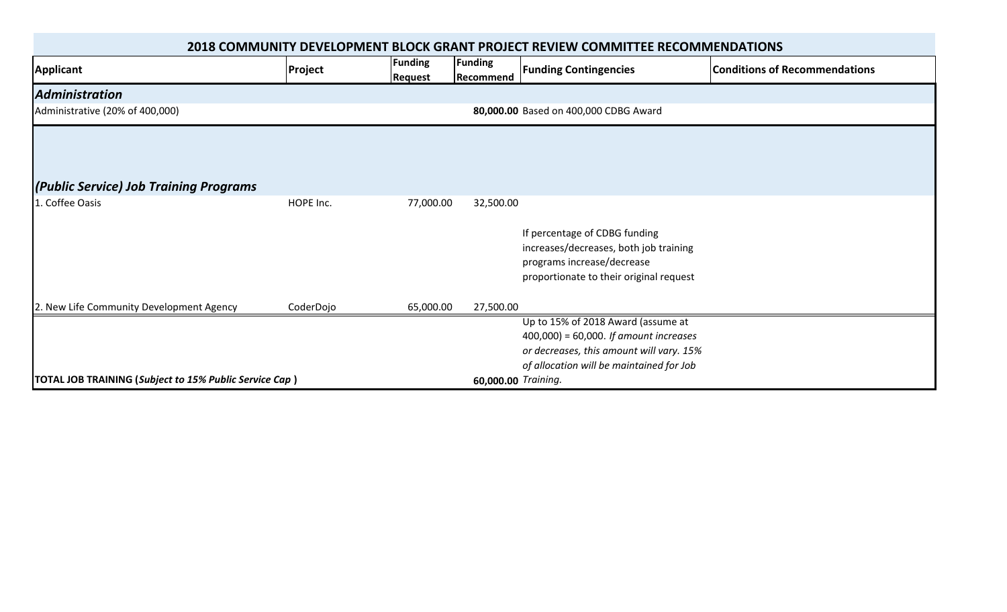| 2018 COMMUNITY DEVELOPMENT BLOCK GRANT PROJECT REVIEW COMMITTEE RECOMMENDATIONS |                                       |                                  |                      |                                                                                                                                                                       |                                      |  |  |
|---------------------------------------------------------------------------------|---------------------------------------|----------------------------------|----------------------|-----------------------------------------------------------------------------------------------------------------------------------------------------------------------|--------------------------------------|--|--|
| Applicant                                                                       | Project                               | <b>Funding</b><br><b>Request</b> | Funding<br>Recommend | <b>Funding Contingencies</b>                                                                                                                                          | <b>Conditions of Recommendations</b> |  |  |
| <b>Administration</b>                                                           |                                       |                                  |                      |                                                                                                                                                                       |                                      |  |  |
| Administrative (20% of 400,000)                                                 | 80,000.00 Based on 400,000 CDBG Award |                                  |                      |                                                                                                                                                                       |                                      |  |  |
|                                                                                 |                                       |                                  |                      |                                                                                                                                                                       |                                      |  |  |
| (Public Service) Job Training Programs                                          |                                       |                                  |                      |                                                                                                                                                                       |                                      |  |  |
| . Coffee Oasis                                                                  | HOPE Inc.                             | 77,000.00                        | 32,500.00            |                                                                                                                                                                       |                                      |  |  |
|                                                                                 |                                       |                                  |                      | If percentage of CDBG funding<br>increases/decreases, both job training<br>programs increase/decrease<br>proportionate to their original request                      |                                      |  |  |
| 2. New Life Community Development Agency                                        | CoderDojo                             | 65,000.00                        | 27,500.00            |                                                                                                                                                                       |                                      |  |  |
|                                                                                 |                                       |                                  |                      | Up to 15% of 2018 Award (assume at<br>$400,000$ = 60,000. If amount increases<br>or decreases, this amount will vary. 15%<br>of allocation will be maintained for Job |                                      |  |  |
| TOTAL JOB TRAINING (Subject to 15% Public Service Cap)                          |                                       |                                  | 60,000.00 Training.  |                                                                                                                                                                       |                                      |  |  |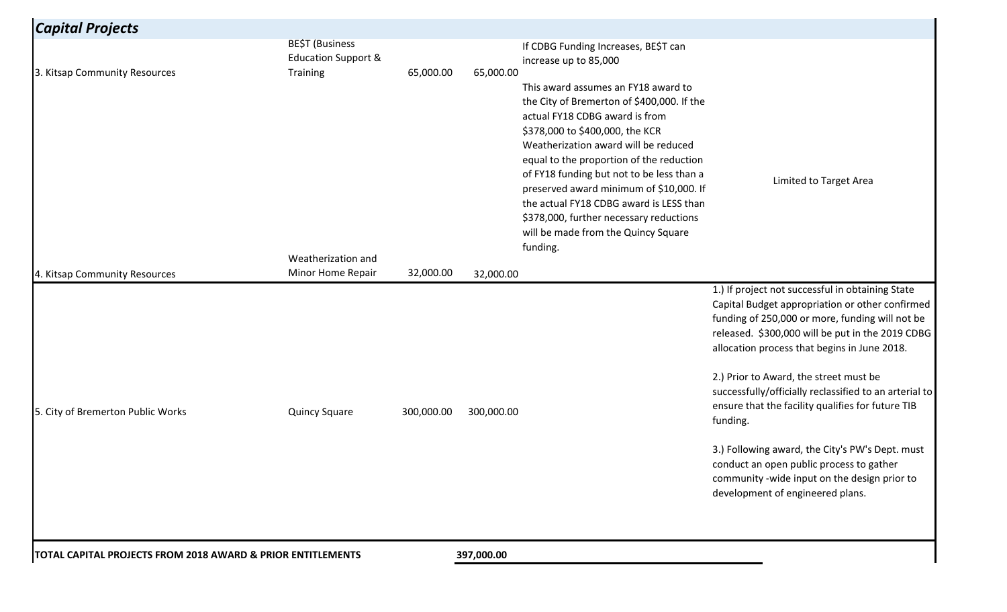| <b>Capital Projects</b>                                     |                                                   |            |            |                                                                                                                                                                                                                                                                                                                                                                                                                                                                             |                                                                                                                                                                                                                                                                                                                                                                                                                                                                                                                                                                                                                    |
|-------------------------------------------------------------|---------------------------------------------------|------------|------------|-----------------------------------------------------------------------------------------------------------------------------------------------------------------------------------------------------------------------------------------------------------------------------------------------------------------------------------------------------------------------------------------------------------------------------------------------------------------------------|--------------------------------------------------------------------------------------------------------------------------------------------------------------------------------------------------------------------------------------------------------------------------------------------------------------------------------------------------------------------------------------------------------------------------------------------------------------------------------------------------------------------------------------------------------------------------------------------------------------------|
|                                                             | BE\$T (Business<br><b>Education Support &amp;</b> |            |            | If CDBG Funding Increases, BE\$T can<br>increase up to 85,000                                                                                                                                                                                                                                                                                                                                                                                                               |                                                                                                                                                                                                                                                                                                                                                                                                                                                                                                                                                                                                                    |
| 3. Kitsap Community Resources                               | <b>Training</b>                                   | 65,000.00  | 65,000.00  | This award assumes an FY18 award to<br>the City of Bremerton of \$400,000. If the<br>actual FY18 CDBG award is from<br>\$378,000 to \$400,000, the KCR<br>Weatherization award will be reduced<br>equal to the proportion of the reduction<br>of FY18 funding but not to be less than a<br>preserved award minimum of \$10,000. If<br>the actual FY18 CDBG award is LESS than<br>\$378,000, further necessary reductions<br>will be made from the Quincy Square<br>funding. | Limited to Target Area                                                                                                                                                                                                                                                                                                                                                                                                                                                                                                                                                                                             |
| 4. Kitsap Community Resources                               | Weatherization and<br>Minor Home Repair           | 32,000.00  | 32,000.00  |                                                                                                                                                                                                                                                                                                                                                                                                                                                                             |                                                                                                                                                                                                                                                                                                                                                                                                                                                                                                                                                                                                                    |
| 5. City of Bremerton Public Works                           | <b>Quincy Square</b>                              | 300,000.00 | 300,000.00 |                                                                                                                                                                                                                                                                                                                                                                                                                                                                             | 1.) If project not successful in obtaining State<br>Capital Budget appropriation or other confirmed<br>funding of 250,000 or more, funding will not be<br>released. \$300,000 will be put in the 2019 CDBG<br>allocation process that begins in June 2018.<br>2.) Prior to Award, the street must be<br>successfully/officially reclassified to an arterial to<br>ensure that the facility qualifies for future TIB<br>funding.<br>3.) Following award, the City's PW's Dept. must<br>conduct an open public process to gather<br>community -wide input on the design prior to<br>development of engineered plans. |
| TOTAL CAPITAL PROJECTS FROM 2018 AWARD & PRIOR ENTITLEMENTS |                                                   |            | 397,000.00 |                                                                                                                                                                                                                                                                                                                                                                                                                                                                             |                                                                                                                                                                                                                                                                                                                                                                                                                                                                                                                                                                                                                    |